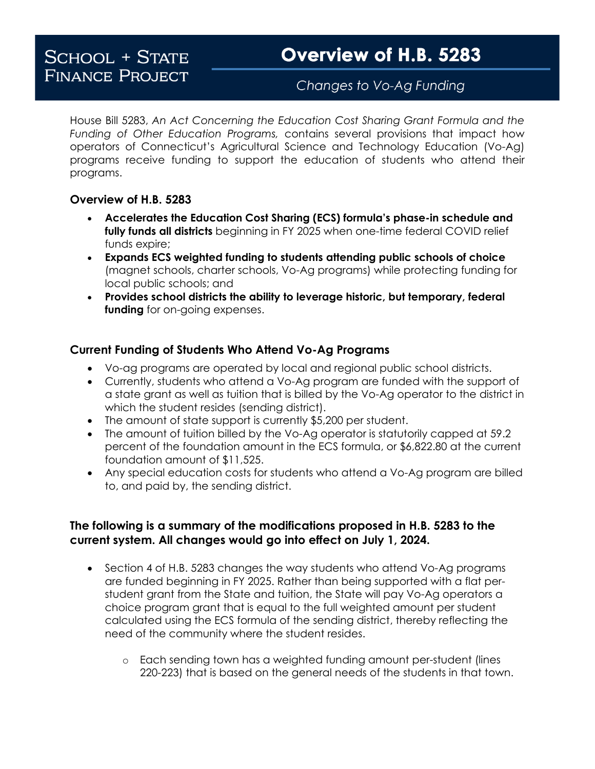## Changes to Vo-Ag Funding

House Bill 5283, *An Act Concerning the Education Cost Sharing Grant Formula and the Funding of Other Education Programs,* contains several provisions that impact how operators of Connecticut's Agricultural Science and Technology Education (Vo-Ag) programs receive funding to support the education of students who attend their programs.

## **Overview of H.B. 5283**

- **Accelerates the Education Cost Sharing (ECS) formula's phase-in schedule and fully funds all districts** beginning in FY 2025 when one-time federal COVID relief funds expire;
- **Expands ECS weighted funding to students attending public schools of choice**  (magnet schools, charter schools, Vo-Ag programs) while protecting funding for local public schools; and
- **Provides school districts the ability to leverage historic, but temporary, federal funding** for on-going expenses.

## **Current Funding of Students Who Attend Vo-Ag Programs**

- Vo-ag programs are operated by local and regional public school districts.
- Currently, students who attend a Vo-Ag program are funded with the support of a state grant as well as tuition that is billed by the Vo-Ag operator to the district in which the student resides (sending district).
- The amount of state support is currently \$5,200 per student.
- The amount of tuition billed by the Vo-Ag operator is statutorily capped at 59.2 percent of the foundation amount in the ECS formula, or \$6,822.80 at the current foundation amount of \$11,525.
- Any special education costs for students who attend a Vo-Ag program are billed to, and paid by, the sending district.

## **The following is a summary of the modifications proposed in H.B. 5283 to the current system. All changes would go into effect on July 1, 2024.**

- Section 4 of H.B. 5283 changes the way students who attend Vo-Ag programs are funded beginning in FY 2025. Rather than being supported with a flat perstudent grant from the State and tuition, the State will pay Vo-Ag operators a choice program grant that is equal to the full weighted amount per student calculated using the ECS formula of the sending district, thereby reflecting the need of the community where the student resides.
	- o Each sending town has a weighted funding amount per-student (lines 220-223) that is based on the general needs of the students in that town.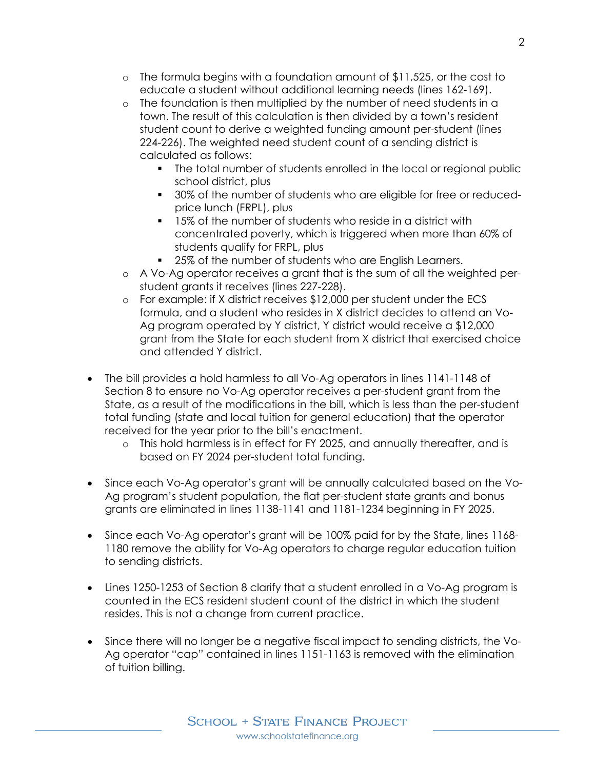- o The formula begins with a foundation amount of \$11,525, or the cost to educate a student without additional learning needs (lines 162-169).
- o The foundation is then multiplied by the number of need students in a town. The result of this calculation is then divided by a town's resident student count to derive a weighted funding amount per-student (lines 224-226). The weighted need student count of a sending district is calculated as follows:
	- The total number of students enrolled in the local or regional public school district, plus
	- **30% of the number of students who are eligible for free or reduced**price lunch (FRPL), plus
	- 15% of the number of students who reside in a district with concentrated poverty, which is triggered when more than 60% of students qualify for FRPL, plus
	- 25% of the number of students who are English Learners.
- o A Vo-Ag operator receives a grant that is the sum of all the weighted perstudent grants it receives (lines 227-228).
- o For example: if X district receives \$12,000 per student under the ECS formula, and a student who resides in X district decides to attend an Vo-Ag program operated by Y district, Y district would receive a \$12,000 grant from the State for each student from X district that exercised choice and attended Y district.
- The bill provides a hold harmless to all Vo-Ag operators in lines 1141-1148 of Section 8 to ensure no Vo-Ag operator receives a per-student grant from the State, as a result of the modifications in the bill, which is less than the per-student total funding (state and local tuition for general education) that the operator received for the year prior to the bill's enactment.
	- o This hold harmless is in effect for FY 2025, and annually thereafter, and is based on FY 2024 per-student total funding.
- Since each Vo-Ag operator's grant will be annually calculated based on the Vo-Ag program's student population, the flat per-student state grants and bonus grants are eliminated in lines 1138-1141 and 1181-1234 beginning in FY 2025.
- Since each Vo-Ag operator's grant will be 100% paid for by the State, lines 1168- 1180 remove the ability for Vo-Ag operators to charge regular education tuition to sending districts.
- Lines 1250-1253 of Section 8 clarify that a student enrolled in a Vo-Ag program is counted in the ECS resident student count of the district in which the student resides. This is not a change from current practice.
- Since there will no longer be a negative fiscal impact to sending districts, the Vo-Ag operator "cap" contained in lines 1151-1163 is removed with the elimination of tuition billing.